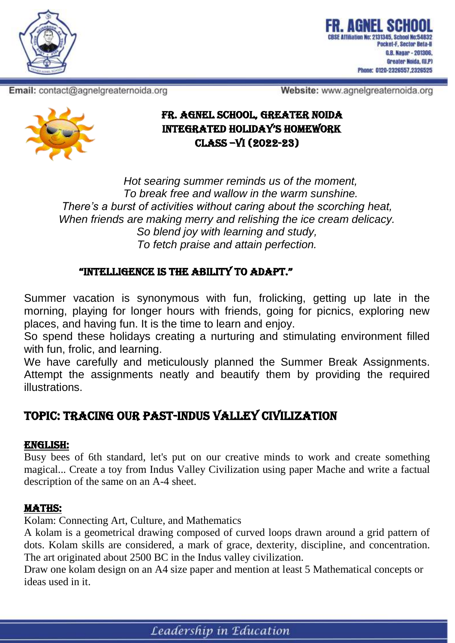

Email: contact@agnelgreaternoida.org

Website: www.agnelgreaternoida.org



*Hot searing summer reminds us of the moment, To break free and wallow in the warm sunshine. There's a burst of activities without caring about the scorching heat, When friends are making merry and relishing the ice cream delicacy. So blend joy with learning and study, To fetch praise and attain perfection.*

## "IntellIgence IS the abIlIty to adapt."

Summer vacation is synonymous with fun, frolicking, getting up late in the morning, playing for longer hours with friends, going for picnics, exploring new places, and having fun. It is the time to learn and enjoy.

So spend these holidays creating a nurturing and stimulating environment filled with fun, frolic, and learning.

We have carefully and meticulously planned the Summer Break Assignments. Attempt the assignments neatly and beautify them by providing the required illustrations.

# TOPIC: TRACING OUR PAST-INDUS VALLEY CIVILIZATION

#### ENGLISH:

Busy bees of 6th standard, let's put on our creative minds to work and create something magical... Create a toy from Indus Valley Civilization using paper Mache and write a factual description of the same on an A-4 sheet.

#### MATHS:

Kolam: Connecting Art, Culture, and Mathematics

A kolam is a geometrical drawing composed of curved loops drawn around a grid pattern of dots. Kolam skills are considered, a mark of grace, dexterity, discipline, and concentration. The art originated about 2500 BC in the Indus valley civilization.

Draw one kolam design on an A4 size paper and mention at least 5 Mathematical concepts or ideas used in it.

Leadership in Education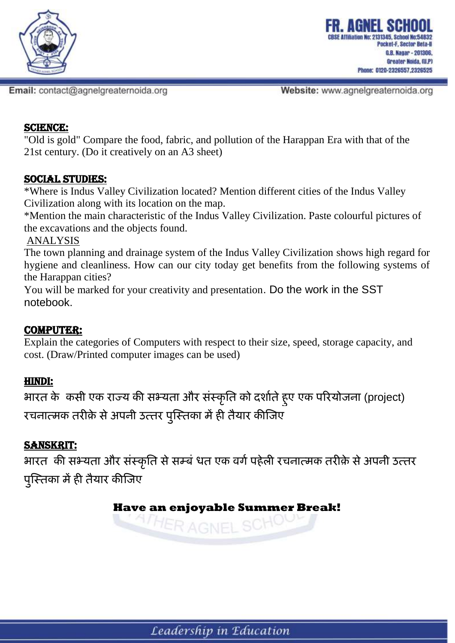

Website: www.agnelgreaternoida.org

#### SCIENCE:

"Old is gold" Compare the food, fabric, and pollution of the Harappan Era with that of the 21st century. (Do it creatively on an A3 sheet)

#### SOCIAL STUDIES:

\*Where is Indus Valley Civilization located? Mention different cities of the Indus Valley Civilization along with its location on the map.

\*Mention the main characteristic of the Indus Valley Civilization. Paste colourful pictures of the excavations and the objects found.

ANALYSIS

The town planning and drainage system of the Indus Valley Civilization shows high regard for hygiene and cleanliness. How can our city today get benefits from the following systems of the Harappan cities?

You will be marked for your creativity and presentation. Do the work in the SST notebook.

## COMPUTER:

Explain the categories of Computers with respect to their size, speed, storage capacity, and cost. (Draw/Printed computer images can be used)

## HINDI:

**भारत के ककसी एक राज्य की सभ्यता और संस्क ृ तत को दर्ाातेहु ए एक पररयोजना** (project) **रचनात्मक तरीके सेअपनी उत्तर प ु स्स्तका मेंही तैयार कीस्जए**

## SANSKRIT:

**भारत की सभ्यता और संस्क ृ तत सेसम्बंधित एक वर्ापहेली रचनात्मक तरीके सेअपनी उत्तर प ु स्स्तका मेंही तैयार कीस्जए**

# **Have an enjoyable Summer Break!**

HER AGNEL SO